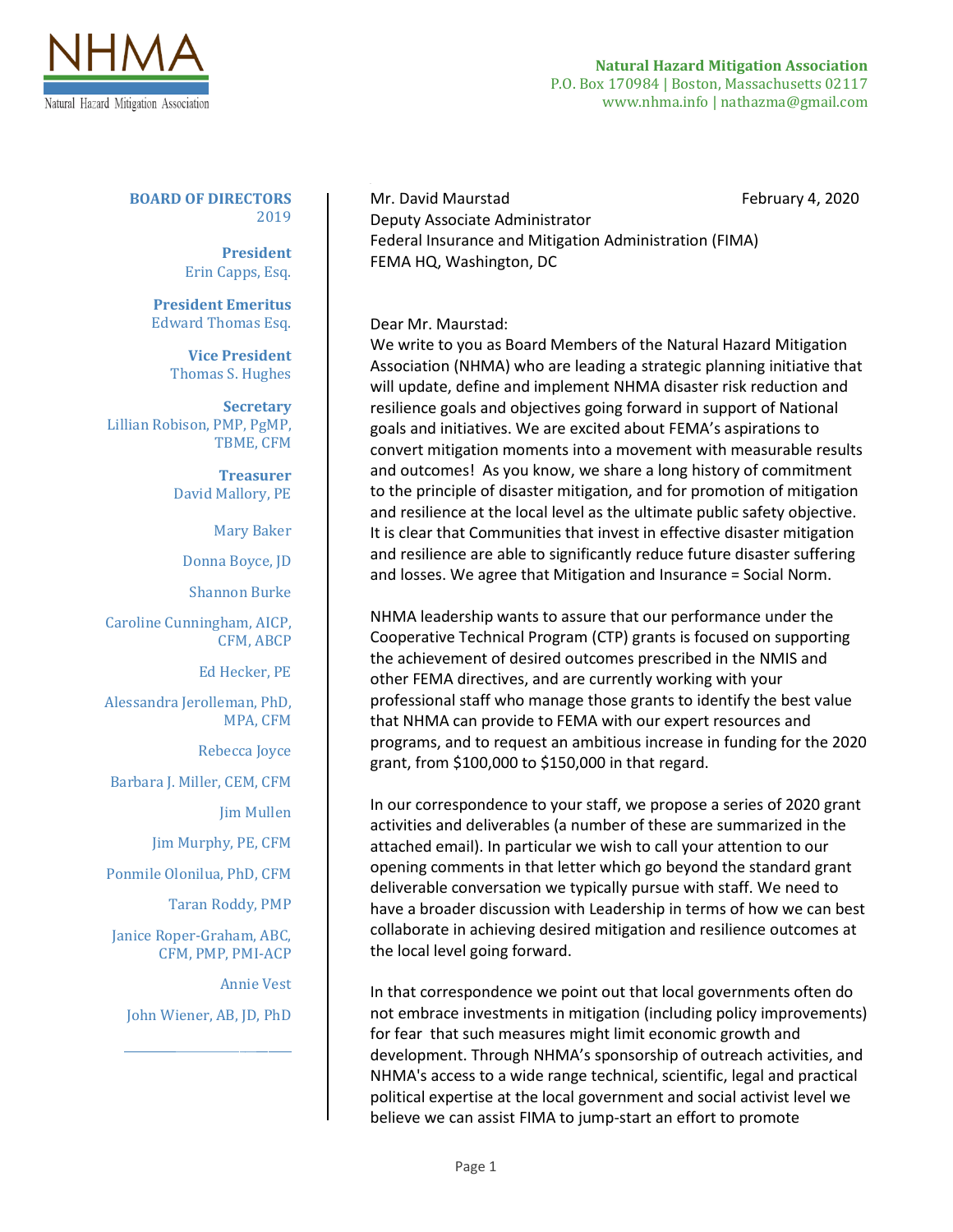

**Natural Hazard Mitigation Association** P.O. Box 170984 | Boston, Massachusetts 02117 www.nhma.info | nathazma@gmail.com

**BOARD OF DIRECTORS** 2019

> **President** Erin Capps, Esq.

**President Emeritus** Edward Thomas Esq.

**Vice President** Thomas S. Hughes

**Secretary** Lillian Robison, PMP, PgMP, TBME, CFM

> **Treasurer** David Mallory, PE

> > Mary Baker

Donna Boyce, JD

Shannon Burke

Caroline Cunningham, AICP, CFM, ABCP

Ed Hecker, PE

Alessandra Jerolleman, PhD, MPA, CFM

Rebecca Joyce

Barbara J. Miller, CEM, CFM

Jim Mullen

Jim Murphy, PE, CFM

Ponmile Olonilua, PhD, CFM

Taran Roddy, PMP

Janice Roper-Graham, ABC, CFM, PMP, PMI-ACP

Annie Vest

John Wiener, AB, JD, PhD

\_\_\_\_\_\_\_\_\_\_\_\_\_\_\_\_\_\_\_\_\_\_\_\_\_\_\_\_\_

Mr. David Maurstad **February 4, 2020** Deputy Associate Administrator Federal Insurance and Mitigation Administration (FIMA) FEMA HQ, Washington, DC

Dear Mr. Maurstad:

We write to you as Board Members of the Natural Hazard Mitigation Association (NHMA) who are leading a strategic planning initiative that will update, define and implement NHMA disaster risk reduction and resilience goals and objectives going forward in support of National goals and initiatives. We are excited about FEMA's aspirations to convert mitigation moments into a movement with measurable results and outcomes! As you know, we share a long history of commitment to the principle of disaster mitigation, and for promotion of mitigation and resilience at the local level as the ultimate public safety objective. It is clear that Communities that invest in effective disaster mitigation and resilience are able to significantly reduce future disaster suffering and losses. We agree that Mitigation and Insurance = Social Norm.

NHMA leadership wants to assure that our performance under the Cooperative Technical Program (CTP) grants is focused on supporting the achievement of desired outcomes prescribed in the NMIS and other FEMA directives, and are currently working with your professional staff who manage those grants to identify the best value that NHMA can provide to FEMA with our expert resources and programs, and to request an ambitious increase in funding for the 2020 grant, from \$100,000 to \$150,000 in that regard.

In our correspondence to your staff, we propose a series of 2020 grant activities and deliverables (a number of these are summarized in the attached email). In particular we wish to call your attention to our opening comments in that letter which go beyond the standard grant deliverable conversation we typically pursue with staff. We need to have a broader discussion with Leadership in terms of how we can best collaborate in achieving desired mitigation and resilience outcomes at the local level going forward.

In that correspondence we point out that local governments often do not embrace investments in mitigation (including policy improvements) for fear that such measures might limit economic growth and development. Through NHMA's sponsorship of outreach activities, and NHMA's access to a wide range technical, scientific, legal and practical political expertise at the local government and social activist level we believe we can assist FIMA to jump-start an effort to promote